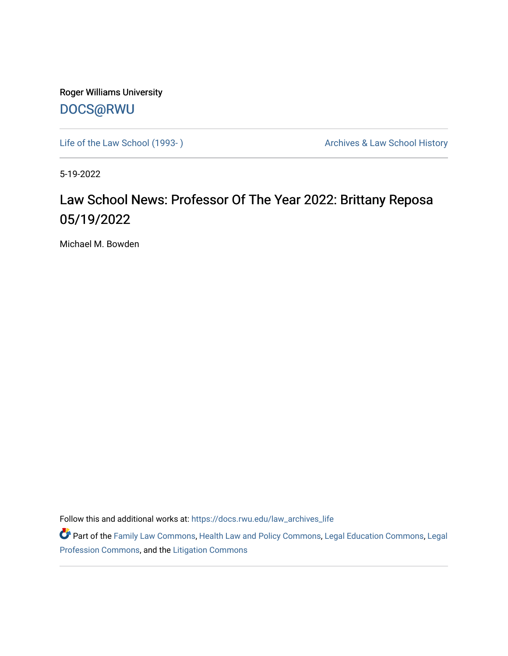Roger Williams University [DOCS@RWU](https://docs.rwu.edu/)

Life of the Law School (1993-) **Archives & Law School History** Archives & Law School History

5-19-2022

## Law School News: Professor Of The Year 2022: Brittany Reposa 05/19/2022

Michael M. Bowden

Follow this and additional works at: [https://docs.rwu.edu/law\\_archives\\_life](https://docs.rwu.edu/law_archives_life?utm_source=docs.rwu.edu%2Flaw_archives_life%2F784&utm_medium=PDF&utm_campaign=PDFCoverPages)

Part of the [Family Law Commons,](https://network.bepress.com/hgg/discipline/602?utm_source=docs.rwu.edu%2Flaw_archives_life%2F784&utm_medium=PDF&utm_campaign=PDFCoverPages) [Health Law and Policy Commons](https://network.bepress.com/hgg/discipline/901?utm_source=docs.rwu.edu%2Flaw_archives_life%2F784&utm_medium=PDF&utm_campaign=PDFCoverPages), [Legal Education Commons](https://network.bepress.com/hgg/discipline/857?utm_source=docs.rwu.edu%2Flaw_archives_life%2F784&utm_medium=PDF&utm_campaign=PDFCoverPages), Legal [Profession Commons,](https://network.bepress.com/hgg/discipline/1075?utm_source=docs.rwu.edu%2Flaw_archives_life%2F784&utm_medium=PDF&utm_campaign=PDFCoverPages) and the [Litigation Commons](https://network.bepress.com/hgg/discipline/910?utm_source=docs.rwu.edu%2Flaw_archives_life%2F784&utm_medium=PDF&utm_campaign=PDFCoverPages)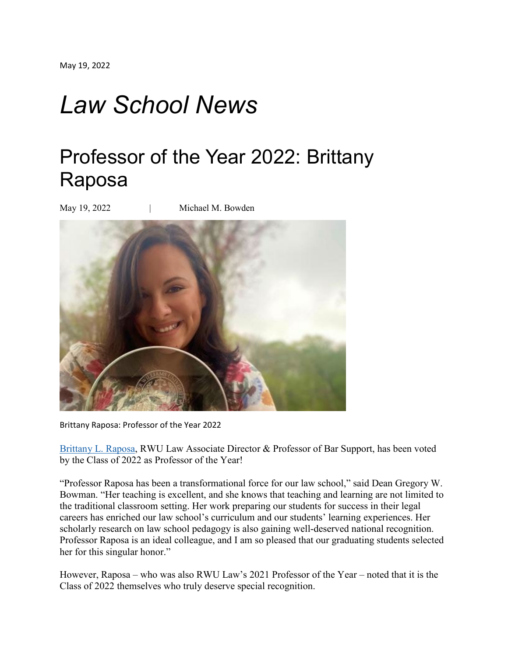## *Law School News*

## Professor of the Year 2022: Brittany Raposa

May 19, 2022 | Michael M. Bowden



Brittany Raposa: Professor of the Year 2022

[Brittany](https://law.rwu.edu/faculty/brittany-raposa) L. Raposa, RWU Law Associate Director & Professor of Bar Support, has been voted by the Class of 2022 as Professor of the Year!

"Professor Raposa has been a transformational force for our law school," said Dean Gregory W. Bowman. "Her teaching is excellent, and she knows that teaching and learning are not limited to the traditional classroom setting. Her work preparing our students for success in their legal careers has enriched our law school's curriculum and our students' learning experiences. Her scholarly research on law school pedagogy is also gaining well-deserved national recognition. Professor Raposa is an ideal colleague, and I am so pleased that our graduating students selected her for this singular honor."

However, Raposa – who was also RWU Law's 2021 Professor of the Year – noted that it is the Class of 2022 themselves who truly deserve special recognition.